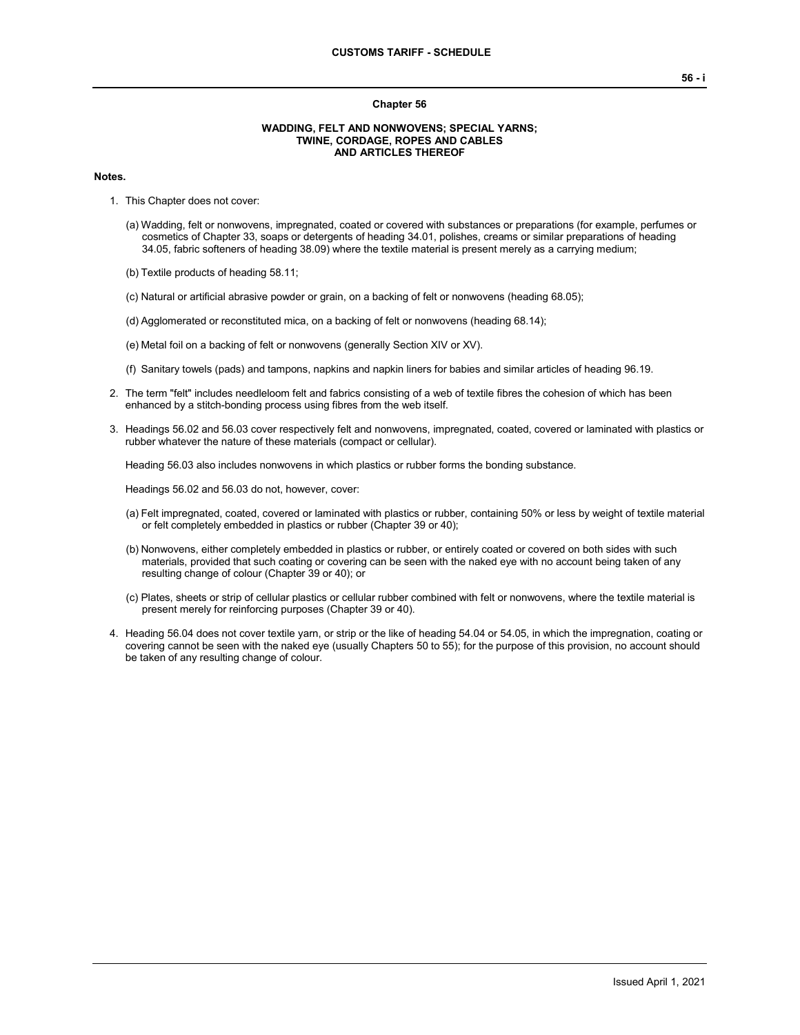#### **Chapter 56**

### **WADDING, FELT AND NONWOVENS; SPECIAL YARNS; TWINE, CORDAGE, ROPES AND CABLES AND ARTICLES THEREOF**

### **Notes.**

- 1. This Chapter does not cover:
	- (a) Wadding, felt or nonwovens, impregnated, coated or covered with substances or preparations (for example, perfumes or cosmetics of Chapter 33, soaps or detergents of heading 34.01, polishes, creams or similar preparations of heading 34.05, fabric softeners of heading 38.09) where the textile material is present merely as a carrying medium;
	- (b) Textile products of heading 58.11;
	- (c) Natural or artificial abrasive powder or grain, on a backing of felt or nonwovens (heading 68.05);
	- (d) Agglomerated or reconstituted mica, on a backing of felt or nonwovens (heading 68.14);
	- (e) Metal foil on a backing of felt or nonwovens (generally Section XIV or XV).
	- (f) Sanitary towels (pads) and tampons, napkins and napkin liners for babies and similar articles of heading 96.19.
- 2. The term "felt" includes needleloom felt and fabrics consisting of a web of textile fibres the cohesion of which has been enhanced by a stitch-bonding process using fibres from the web itself.
- 3. Headings 56.02 and 56.03 cover respectively felt and nonwovens, impregnated, coated, covered or laminated with plastics or rubber whatever the nature of these materials (compact or cellular).

Heading 56.03 also includes nonwovens in which plastics or rubber forms the bonding substance.

Headings 56.02 and 56.03 do not, however, cover:

- (a) Felt impregnated, coated, covered or laminated with plastics or rubber, containing 50% or less by weight of textile material or felt completely embedded in plastics or rubber (Chapter 39 or 40);
- (b) Nonwovens, either completely embedded in plastics or rubber, or entirely coated or covered on both sides with such materials, provided that such coating or covering can be seen with the naked eye with no account being taken of any resulting change of colour (Chapter 39 or 40); or
- (c) Plates, sheets or strip of cellular plastics or cellular rubber combined with felt or nonwovens, where the textile material is present merely for reinforcing purposes (Chapter 39 or 40).
- 4. Heading 56.04 does not cover textile yarn, or strip or the like of heading 54.04 or 54.05, in which the impregnation, coating or covering cannot be seen with the naked eye (usually Chapters 50 to 55); for the purpose of this provision, no account should be taken of any resulting change of colour.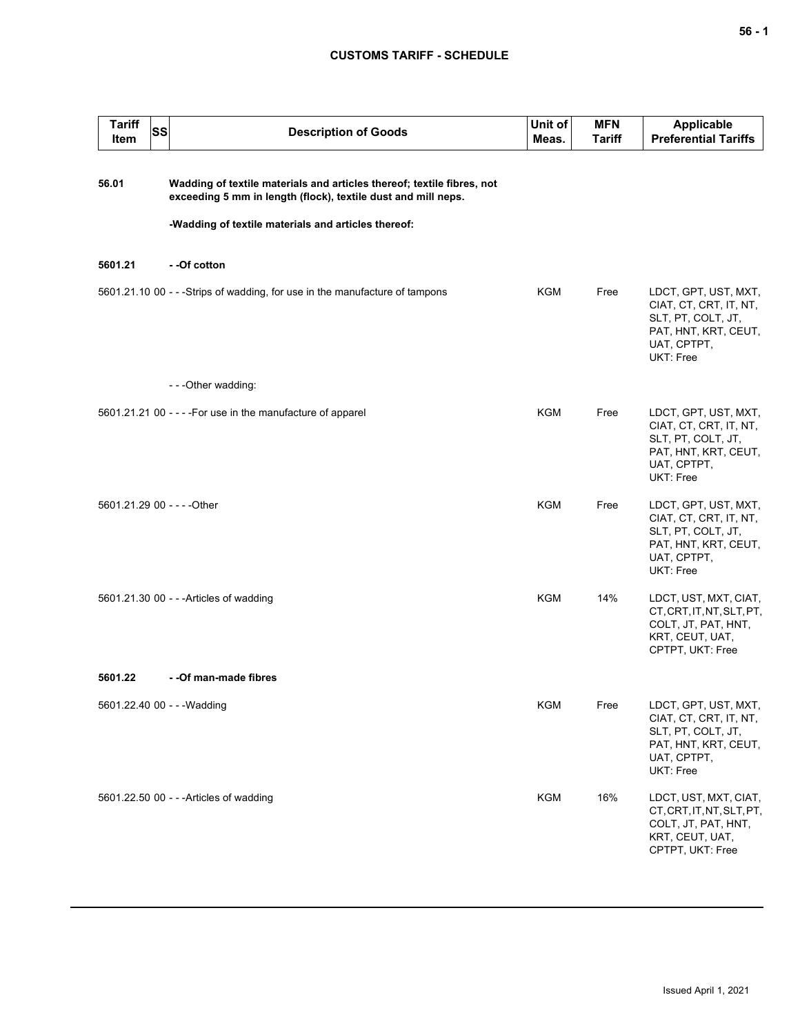## **CUSTOMS TARIFF - SCHEDULE**

| <b>Tariff</b><br>Item | <b>SS</b> | <b>Description of Goods</b>                                                                                                                                                                    | Unit of<br>Meas. | <b>MFN</b><br>Tariff | <b>Applicable</b><br><b>Preferential Tariffs</b>                                                                         |
|-----------------------|-----------|------------------------------------------------------------------------------------------------------------------------------------------------------------------------------------------------|------------------|----------------------|--------------------------------------------------------------------------------------------------------------------------|
| 56.01                 |           | Wadding of textile materials and articles thereof; textile fibres, not<br>exceeding 5 mm in length (flock), textile dust and mill neps.<br>-Wadding of textile materials and articles thereof: |                  |                      |                                                                                                                          |
| 5601.21               |           | - -Of cotton                                                                                                                                                                                   |                  |                      |                                                                                                                          |
|                       |           | 5601.21.10 00 - - - Strips of wadding, for use in the manufacture of tampons                                                                                                                   | KGM              | Free                 | LDCT, GPT, UST, MXT,<br>CIAT, CT, CRT, IT, NT,<br>SLT, PT, COLT, JT,<br>PAT, HNT, KRT, CEUT,<br>UAT, CPTPT,<br>UKT: Free |
|                       |           | - - - Other wadding:                                                                                                                                                                           |                  |                      |                                                                                                                          |
|                       |           | 5601.21.21 00 - - - - For use in the manufacture of apparel                                                                                                                                    | <b>KGM</b>       | Free                 | LDCT, GPT, UST, MXT,<br>CIAT, CT, CRT, IT, NT,<br>SLT, PT, COLT, JT,<br>PAT, HNT, KRT, CEUT,<br>UAT, CPTPT,<br>UKT: Free |
|                       |           | 5601.21.29 00 - - - - Other                                                                                                                                                                    | <b>KGM</b>       | Free                 | LDCT, GPT, UST, MXT,<br>CIAT, CT, CRT, IT, NT,<br>SLT, PT, COLT, JT,<br>PAT, HNT, KRT, CEUT,<br>UAT, CPTPT,<br>UKT: Free |
|                       |           | 5601.21.30 00 - - - Articles of wadding                                                                                                                                                        | <b>KGM</b>       | 14%                  | LDCT, UST, MXT, CIAT,<br>CT, CRT, IT, NT, SLT, PT,<br>COLT, JT, PAT, HNT,<br>KRT, CEUT, UAT,<br>CPTPT, UKT: Free         |
| 5601.22               |           | - - Of man-made fibres                                                                                                                                                                         |                  |                      |                                                                                                                          |
|                       |           | 5601.22.40 00 - - - Wadding                                                                                                                                                                    | <b>KGM</b>       | Free                 | LDCT, GPT, UST, MXT,<br>CIAT, CT, CRT, IT, NT,<br>SLT, PT, COLT, JT,<br>PAT, HNT, KRT, CEUT,<br>UAT, CPTPT,<br>UKT: Free |
|                       |           | 5601.22.50 00 - - - Articles of wadding                                                                                                                                                        | <b>KGM</b>       | 16%                  | LDCT, UST, MXT, CIAT,<br>CT, CRT, IT, NT, SLT, PT,<br>COLT, JT, PAT, HNT,<br>KRT, CEUT, UAT,<br>CPTPT, UKT: Free         |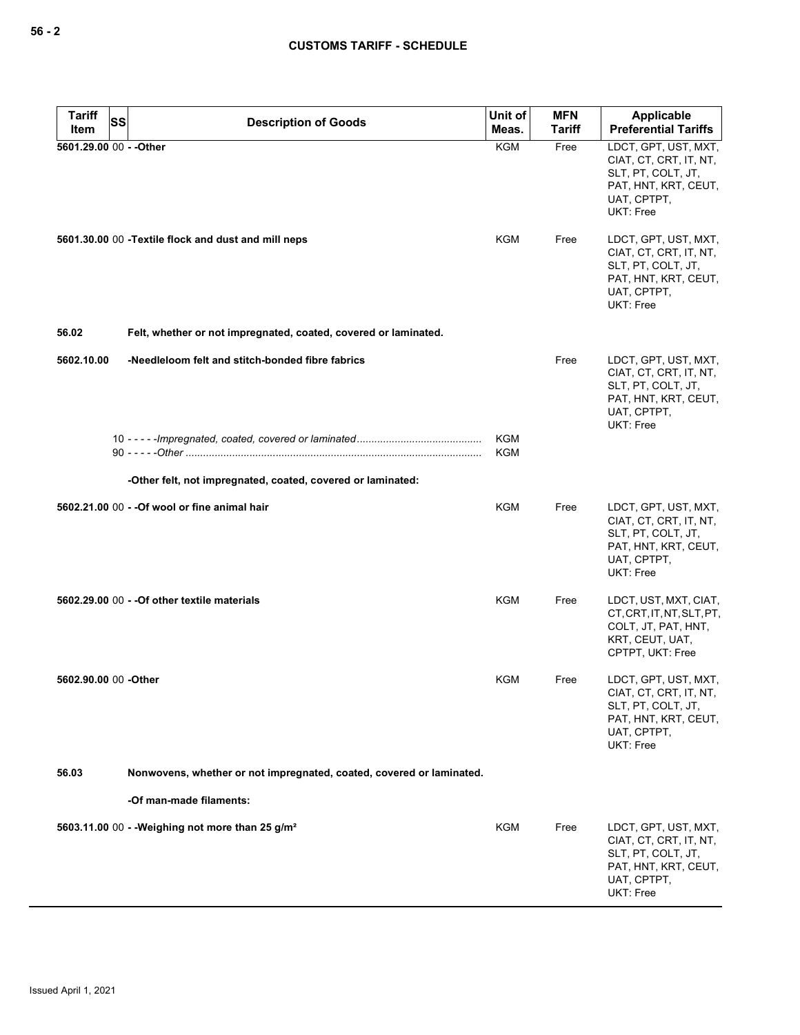| <b>Tariff</b><br>Item   | SS | <b>Description of Goods</b>                                          | Unit of<br>Meas.         | <b>MFN</b><br><b>Tariff</b> | <b>Applicable</b><br><b>Preferential Tariffs</b>                                                                         |
|-------------------------|----|----------------------------------------------------------------------|--------------------------|-----------------------------|--------------------------------------------------------------------------------------------------------------------------|
| 5601.29.00 00 - - Other |    |                                                                      | <b>KGM</b>               | Free                        | LDCT, GPT, UST, MXT,<br>CIAT, CT, CRT, IT, NT,<br>SLT, PT, COLT, JT,<br>PAT, HNT, KRT, CEUT,<br>UAT, CPTPT,<br>UKT: Free |
|                         |    | 5601.30.00 00 - Textile flock and dust and mill neps                 | KGM                      | Free                        | LDCT, GPT, UST, MXT,<br>CIAT, CT, CRT, IT, NT,<br>SLT, PT, COLT, JT,<br>PAT, HNT, KRT, CEUT,<br>UAT, CPTPT,<br>UKT: Free |
| 56.02                   |    | Felt, whether or not impregnated, coated, covered or laminated.      |                          |                             |                                                                                                                          |
| 5602.10.00              |    | -Needleloom felt and stitch-bonded fibre fabrics                     |                          | Free                        | LDCT, GPT, UST, MXT,<br>CIAT, CT, CRT, IT, NT,<br>SLT, PT, COLT, JT,<br>PAT, HNT, KRT, CEUT,<br>UAT, CPTPT,<br>UKT: Free |
|                         |    |                                                                      | <b>KGM</b><br><b>KGM</b> |                             |                                                                                                                          |
|                         |    | -Other felt, not impregnated, coated, covered or laminated:          |                          |                             |                                                                                                                          |
|                         |    | 5602.21.00 00 - - Of wool or fine animal hair                        | <b>KGM</b>               | Free                        | LDCT, GPT, UST, MXT,<br>CIAT, CT, CRT, IT, NT,<br>SLT, PT, COLT, JT,<br>PAT, HNT, KRT, CEUT,<br>UAT, CPTPT,<br>UKT: Free |
|                         |    | 5602.29.00 00 - - Of other textile materials                         | KGM                      | Free                        | LDCT, UST, MXT, CIAT,<br>CT, CRT, IT, NT, SLT, PT,<br>COLT, JT, PAT, HNT,<br>KRT, CEUT, UAT,<br>CPTPT, UKT: Free         |
| 5602.90.00 00 - Other   |    |                                                                      | <b>KGM</b>               | Free                        | LDCT, GPT, UST, MXT,<br>CIAT, CT, CRT, IT, NT,<br>SLT, PT, COLT, JT,<br>PAT, HNT, KRT, CEUT,<br>UAT, CPTPT,<br>UKT: Free |
| 56.03                   |    | Nonwovens, whether or not impregnated, coated, covered or laminated. |                          |                             |                                                                                                                          |
|                         |    | -Of man-made filaments:                                              |                          |                             |                                                                                                                          |
|                         |    | 5603.11.00 00 - - Weighing not more than 25 g/m <sup>2</sup>         | KGM                      | Free                        | LDCT, GPT, UST, MXT,<br>CIAT, CT, CRT, IT, NT,<br>SLT, PT, COLT, JT,<br>PAT, HNT, KRT, CEUT,<br>UAT, CPTPT,<br>UKT: Free |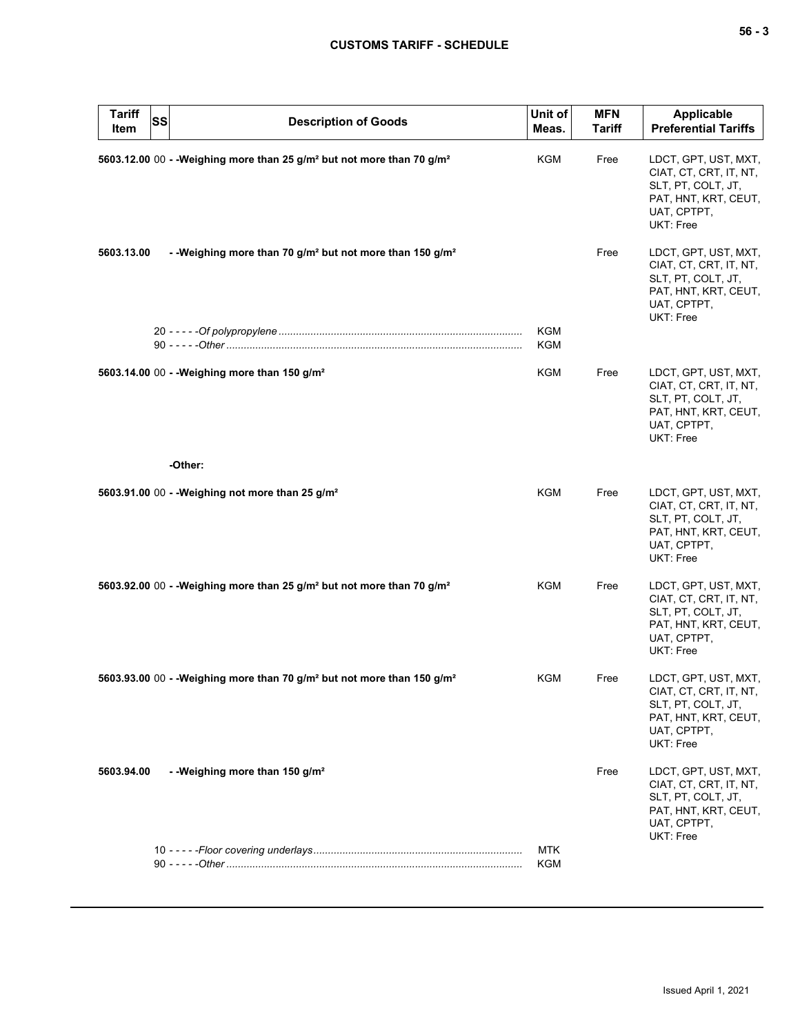| × |  | v<br>۰. |
|---|--|---------|
|---|--|---------|

| <b>Tariff</b><br><b>SS</b><br>Item | <b>Description of Goods</b>                                                                     | Unit of<br>Meas.         | <b>MFN</b><br><b>Tariff</b> | <b>Applicable</b><br><b>Preferential Tariffs</b>                                                                         |
|------------------------------------|-------------------------------------------------------------------------------------------------|--------------------------|-----------------------------|--------------------------------------------------------------------------------------------------------------------------|
|                                    | 5603.12.00 00 - - Weighing more than 25 g/m <sup>2</sup> but not more than 70 g/m <sup>2</sup>  | KGM                      | Free                        | LDCT, GPT, UST, MXT,<br>CIAT, CT, CRT, IT, NT,<br>SLT, PT, COLT, JT,<br>PAT, HNT, KRT, CEUT,<br>UAT, CPTPT,<br>UKT: Free |
| 5603.13.00                         | - - Weighing more than 70 g/m <sup>2</sup> but not more than 150 g/m <sup>2</sup>               |                          | Free                        | LDCT, GPT, UST, MXT,<br>CIAT, CT, CRT, IT, NT,<br>SLT, PT, COLT, JT,<br>PAT, HNT, KRT, CEUT,<br>UAT, CPTPT,<br>UKT: Free |
|                                    |                                                                                                 | <b>KGM</b><br><b>KGM</b> |                             |                                                                                                                          |
|                                    | 5603.14.00 00 - - Weighing more than 150 g/m <sup>2</sup>                                       | <b>KGM</b>               | Free                        | LDCT, GPT, UST, MXT,<br>CIAT, CT, CRT, IT, NT,<br>SLT, PT, COLT, JT,<br>PAT, HNT, KRT, CEUT,<br>UAT, CPTPT,<br>UKT: Free |
|                                    | -Other:                                                                                         |                          |                             |                                                                                                                          |
|                                    | 5603.91.00 00 - - Weighing not more than 25 g/m <sup>2</sup>                                    | KGM                      | Free                        | LDCT, GPT, UST, MXT,<br>CIAT, CT, CRT, IT, NT,<br>SLT, PT, COLT, JT,<br>PAT, HNT, KRT, CEUT,<br>UAT, CPTPT,<br>UKT: Free |
|                                    | 5603.92.00 00 - - Weighing more than 25 g/m <sup>2</sup> but not more than 70 g/m <sup>2</sup>  | <b>KGM</b>               | Free                        | LDCT, GPT, UST, MXT,<br>CIAT, CT, CRT, IT, NT,<br>SLT, PT, COLT, JT,<br>PAT, HNT, KRT, CEUT,<br>UAT, CPTPT,<br>UKT: Free |
|                                    | 5603.93.00 00 - - Weighing more than 70 g/m <sup>2</sup> but not more than 150 g/m <sup>2</sup> | KGM                      | Free                        | LDCT, GPT, UST, MXT,<br>CIAT, CT, CRT, IT, NT,<br>SLT, PT, COLT, JT,<br>PAT, HNT, KRT, CEUT,<br>UAT, CPTPT,<br>UKT: Free |
| 5603.94.00                         | - - Weighing more than 150 g/m <sup>2</sup>                                                     |                          | Free                        | LDCT, GPT, UST, MXT,<br>CIAT, CT, CRT, IT, NT,<br>SLT, PT, COLT, JT,<br>PAT, HNT, KRT, CEUT,<br>UAT, CPTPT,<br>UKT: Free |
|                                    |                                                                                                 | <b>MTK</b><br>KGM        |                             |                                                                                                                          |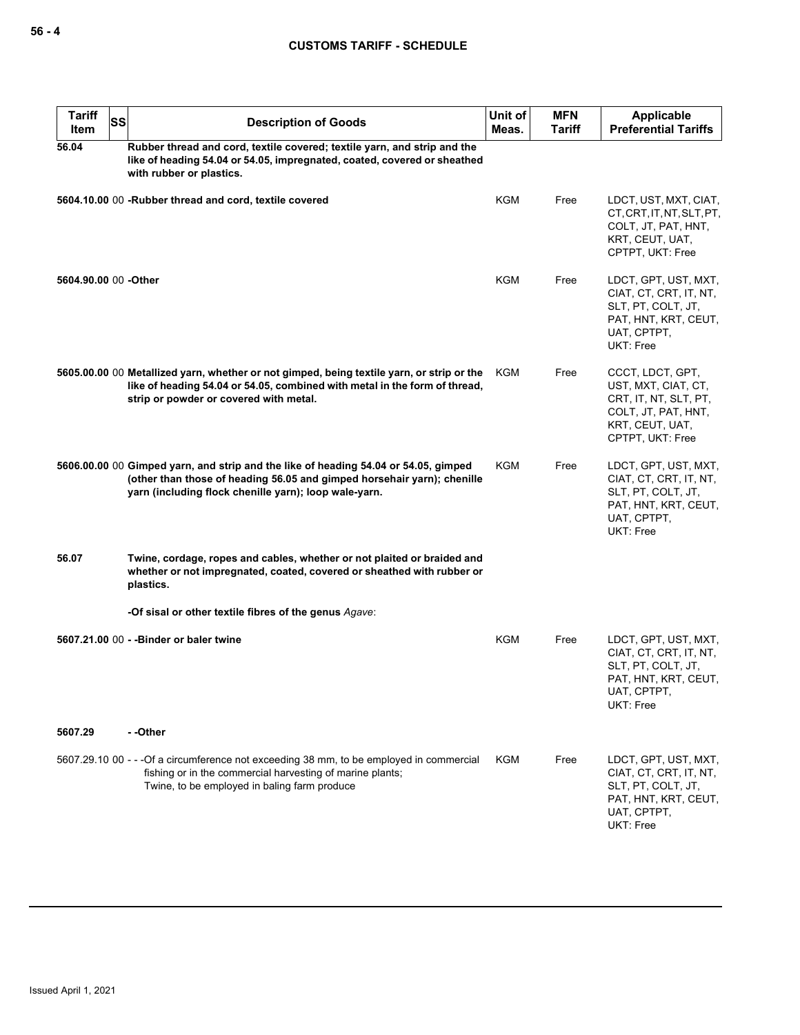| <b>Tariff</b><br>Item | SS | <b>Description of Goods</b>                                                                                                                                                                                             | Unit of<br>Meas. | <b>MFN</b><br><b>Tariff</b> | Applicable<br><b>Preferential Tariffs</b>                                                                                      |
|-----------------------|----|-------------------------------------------------------------------------------------------------------------------------------------------------------------------------------------------------------------------------|------------------|-----------------------------|--------------------------------------------------------------------------------------------------------------------------------|
| 56.04                 |    | Rubber thread and cord, textile covered; textile yarn, and strip and the<br>like of heading 54.04 or 54.05, impregnated, coated, covered or sheathed<br>with rubber or plastics.                                        |                  |                             |                                                                                                                                |
|                       |    | 5604.10.00 00 -Rubber thread and cord, textile covered                                                                                                                                                                  | <b>KGM</b>       | Free                        | LDCT, UST, MXT, CIAT,<br>CT, CRT, IT, NT, SLT, PT,<br>COLT, JT, PAT, HNT,<br>KRT, CEUT, UAT,<br>CPTPT, UKT: Free               |
| 5604.90.00 00 -Other  |    |                                                                                                                                                                                                                         | <b>KGM</b>       | Free                        | LDCT, GPT, UST, MXT,<br>CIAT, CT, CRT, IT, NT,<br>SLT, PT, COLT, JT,<br>PAT, HNT, KRT, CEUT,<br>UAT, CPTPT,<br>UKT: Free       |
|                       |    | 5605.00.00 00 Metallized yarn, whether or not gimped, being textile yarn, or strip or the<br>like of heading 54.04 or 54.05, combined with metal in the form of thread,<br>strip or powder or covered with metal.       | KGM              | Free                        | CCCT, LDCT, GPT,<br>UST, MXT, CIAT, CT,<br>CRT, IT, NT, SLT, PT,<br>COLT, JT, PAT, HNT,<br>KRT, CEUT, UAT,<br>CPTPT, UKT: Free |
|                       |    | 5606.00.00 00 Gimped yarn, and strip and the like of heading 54.04 or 54.05, gimped<br>(other than those of heading 56.05 and gimped horsehair yarn); chenille<br>yarn (including flock chenille yarn); loop wale-yarn. | KGM              | Free                        | LDCT, GPT, UST, MXT,<br>CIAT, CT, CRT, IT, NT,<br>SLT, PT, COLT, JT,<br>PAT, HNT, KRT, CEUT,<br>UAT, CPTPT,<br>UKT: Free       |
| 56.07                 |    | Twine, cordage, ropes and cables, whether or not plaited or braided and<br>whether or not impregnated, coated, covered or sheathed with rubber or<br>plastics.                                                          |                  |                             |                                                                                                                                |
|                       |    | -Of sisal or other textile fibres of the genus Agave:                                                                                                                                                                   |                  |                             |                                                                                                                                |
|                       |    | 5607.21.00 00 - - Binder or baler twine                                                                                                                                                                                 | KGM              | Free                        | LDCT, GPT, UST, MXT,<br>CIAT, CT, CRT, IT, NT,<br>SLT, PT, COLT, JT,<br>PAT, HNT, KRT, CEUT,<br>UAT, CPTPT,<br>UKT: Free       |
| 5607.29               |    | --Other                                                                                                                                                                                                                 |                  |                             |                                                                                                                                |
|                       |    | 5607.29.10 00 - - - Of a circumference not exceeding 38 mm, to be employed in commercial<br>fishing or in the commercial harvesting of marine plants;<br>Twine, to be employed in baling farm produce                   | KGM              | Free                        | LDCT, GPT, UST, MXT,<br>CIAT, CT, CRT, IT, NT,<br>SLT, PT, COLT, JT,<br>PAT, HNT, KRT, CEUT,<br>UAT, CPTPT,<br>UKT: Free       |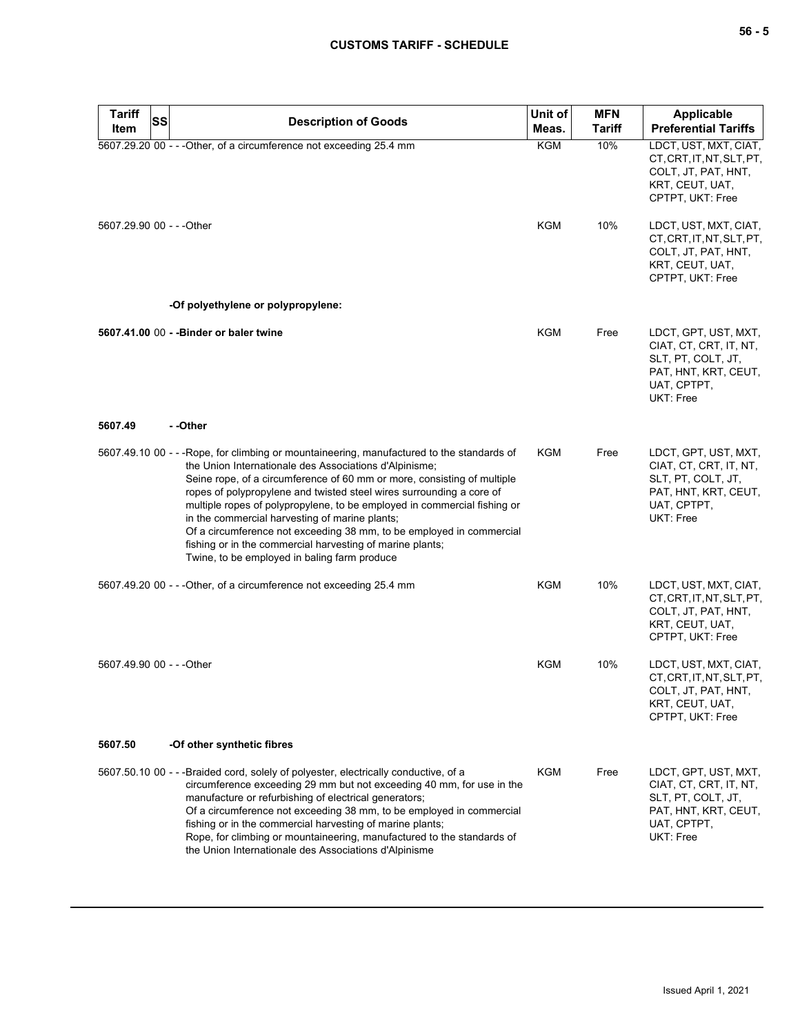| <b>Tariff</b><br>SS       | <b>Description of Goods</b>                                                                                                                                                                                                                                                                                                                                                                                                                                                                                                                                                                                               | Unit of    | <b>MFN</b>    | Applicable                                                                                                               |
|---------------------------|---------------------------------------------------------------------------------------------------------------------------------------------------------------------------------------------------------------------------------------------------------------------------------------------------------------------------------------------------------------------------------------------------------------------------------------------------------------------------------------------------------------------------------------------------------------------------------------------------------------------------|------------|---------------|--------------------------------------------------------------------------------------------------------------------------|
| Item                      |                                                                                                                                                                                                                                                                                                                                                                                                                                                                                                                                                                                                                           | Meas.      | <b>Tariff</b> | <b>Preferential Tariffs</b>                                                                                              |
|                           | 5607.29.20 00 - - - Other, of a circumference not exceeding 25.4 mm                                                                                                                                                                                                                                                                                                                                                                                                                                                                                                                                                       | <b>KGM</b> | 10%           | LDCT, UST, MXT, CIAT,<br>CT, CRT, IT, NT, SLT, PT,<br>COLT, JT, PAT, HNT,<br>KRT, CEUT, UAT,<br>CPTPT, UKT: Free         |
| 5607.29.90 00 - - - Other |                                                                                                                                                                                                                                                                                                                                                                                                                                                                                                                                                                                                                           | <b>KGM</b> | 10%           | LDCT, UST, MXT, CIAT,<br>CT, CRT, IT, NT, SLT, PT,<br>COLT, JT, PAT, HNT,<br>KRT, CEUT, UAT,<br>CPTPT, UKT: Free         |
|                           | -Of polyethylene or polypropylene:                                                                                                                                                                                                                                                                                                                                                                                                                                                                                                                                                                                        |            |               |                                                                                                                          |
|                           | 5607.41.00 00 - - Binder or baler twine                                                                                                                                                                                                                                                                                                                                                                                                                                                                                                                                                                                   | <b>KGM</b> | Free          | LDCT, GPT, UST, MXT,<br>CIAT, CT, CRT, IT, NT,<br>SLT, PT, COLT, JT,<br>PAT, HNT, KRT, CEUT,<br>UAT, CPTPT,<br>UKT: Free |
| 5607.49                   | - -Other                                                                                                                                                                                                                                                                                                                                                                                                                                                                                                                                                                                                                  |            |               |                                                                                                                          |
|                           | 5607.49.10 00 - - -Rope, for climbing or mountaineering, manufactured to the standards of<br>the Union Internationale des Associations d'Alpinisme;<br>Seine rope, of a circumference of 60 mm or more, consisting of multiple<br>ropes of polypropylene and twisted steel wires surrounding a core of<br>multiple ropes of polypropylene, to be employed in commercial fishing or<br>in the commercial harvesting of marine plants;<br>Of a circumference not exceeding 38 mm, to be employed in commercial<br>fishing or in the commercial harvesting of marine plants;<br>Twine, to be employed in baling farm produce | <b>KGM</b> | Free          | LDCT, GPT, UST, MXT,<br>CIAT, CT, CRT, IT, NT,<br>SLT, PT, COLT, JT,<br>PAT, HNT, KRT, CEUT,<br>UAT, CPTPT,<br>UKT: Free |
|                           | 5607.49.20 00 - - - Other, of a circumference not exceeding 25.4 mm                                                                                                                                                                                                                                                                                                                                                                                                                                                                                                                                                       | KGM        | 10%           | LDCT, UST, MXT, CIAT,<br>CT, CRT, IT, NT, SLT, PT,<br>COLT, JT, PAT, HNT,<br>KRT, CEUT, UAT,<br>CPTPT, UKT: Free         |
| 5607.49.90 00 - - - Other |                                                                                                                                                                                                                                                                                                                                                                                                                                                                                                                                                                                                                           | KGM        | 10%           | LDCT, UST, MXT, CIAT,<br>CT, CRT, IT, NT, SLT, PT,<br>COLT, JT, PAT, HNT,<br>KRT, CEUT, UAT,<br>CPTPT, UKT: Free         |
| 5607.50                   | -Of other synthetic fibres                                                                                                                                                                                                                                                                                                                                                                                                                                                                                                                                                                                                |            |               |                                                                                                                          |
|                           | 5607.50.10 00 - - - Braided cord, solely of polyester, electrically conductive, of a<br>circumference exceeding 29 mm but not exceeding 40 mm, for use in the<br>manufacture or refurbishing of electrical generators;<br>Of a circumference not exceeding 38 mm, to be employed in commercial<br>fishing or in the commercial harvesting of marine plants;<br>Rope, for climbing or mountaineering, manufactured to the standards of<br>the Union Internationale des Associations d'Alpinisme                                                                                                                            | KGM        | Free          | LDCT, GPT, UST, MXT,<br>CIAT, CT, CRT, IT, NT,<br>SLT, PT, COLT, JT,<br>PAT, HNT, KRT, CEUT,<br>UAT, CPTPT,<br>UKT: Free |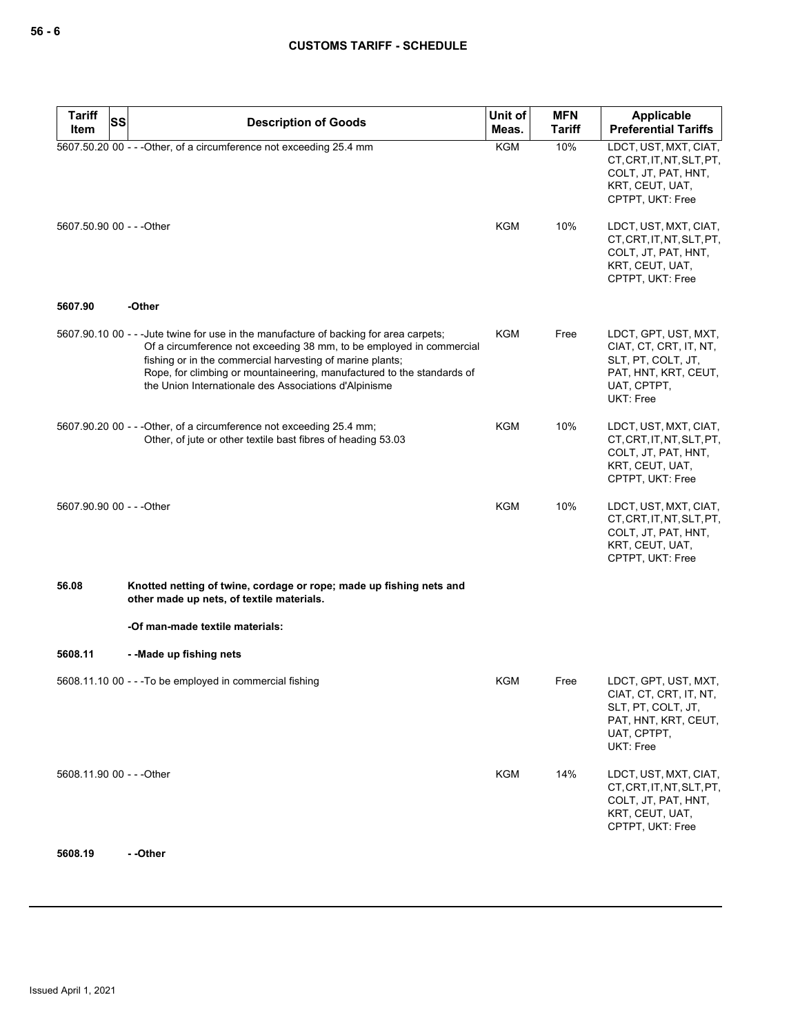| <b>Tariff</b>             | <b>Description of Goods</b>                                                                                                                                                                                                                                                                                                                                    | Unit of    | <b>MFN</b>    | <b>Applicable</b>                                                                                                        |
|---------------------------|----------------------------------------------------------------------------------------------------------------------------------------------------------------------------------------------------------------------------------------------------------------------------------------------------------------------------------------------------------------|------------|---------------|--------------------------------------------------------------------------------------------------------------------------|
| Item                      | SS                                                                                                                                                                                                                                                                                                                                                             | Meas.      | <b>Tariff</b> | <b>Preferential Tariffs</b>                                                                                              |
|                           | 5607.50.20 00 - - - Other, of a circumference not exceeding 25.4 mm                                                                                                                                                                                                                                                                                            | <b>KGM</b> | 10%           | LDCT, UST, MXT, CIAT,<br>CT, CRT, IT, NT, SLT, PT,<br>COLT, JT, PAT, HNT,<br>KRT, CEUT, UAT,<br>CPTPT, UKT: Free         |
| 5607.50.90 00 - - - Other |                                                                                                                                                                                                                                                                                                                                                                | KGM        | 10%           | LDCT, UST, MXT, CIAT,<br>CT, CRT, IT, NT, SLT, PT,<br>COLT, JT, PAT, HNT,<br>KRT, CEUT, UAT,<br>CPTPT, UKT: Free         |
| 5607.90                   | -Other                                                                                                                                                                                                                                                                                                                                                         |            |               |                                                                                                                          |
|                           | 5607.90.10 00 - - - Jute twine for use in the manufacture of backing for area carpets;<br>Of a circumference not exceeding 38 mm, to be employed in commercial<br>fishing or in the commercial harvesting of marine plants;<br>Rope, for climbing or mountaineering, manufactured to the standards of<br>the Union Internationale des Associations d'Alpinisme | <b>KGM</b> | Free          | LDCT, GPT, UST, MXT,<br>CIAT, CT, CRT, IT, NT,<br>SLT, PT, COLT, JT,<br>PAT, HNT, KRT, CEUT,<br>UAT, CPTPT,<br>UKT: Free |
|                           | 5607.90.20 00 - - - Other, of a circumference not exceeding 25.4 mm;<br>Other, of jute or other textile bast fibres of heading 53.03                                                                                                                                                                                                                           | <b>KGM</b> | 10%           | LDCT, UST, MXT, CIAT,<br>CT, CRT, IT, NT, SLT, PT,<br>COLT, JT, PAT, HNT,<br>KRT, CEUT, UAT,<br>CPTPT, UKT: Free         |
| 5607.90.90 00 - - - Other |                                                                                                                                                                                                                                                                                                                                                                | <b>KGM</b> | 10%           | LDCT, UST, MXT, CIAT,<br>CT, CRT, IT, NT, SLT, PT,<br>COLT, JT, PAT, HNT,<br>KRT, CEUT, UAT,<br>CPTPT, UKT: Free         |
| 56.08                     | Knotted netting of twine, cordage or rope; made up fishing nets and<br>other made up nets, of textile materials.                                                                                                                                                                                                                                               |            |               |                                                                                                                          |
|                           | -Of man-made textile materials:                                                                                                                                                                                                                                                                                                                                |            |               |                                                                                                                          |
| 5608.11                   | --Made up fishing nets                                                                                                                                                                                                                                                                                                                                         |            |               |                                                                                                                          |
|                           | 5608.11.10 00 - - - To be employed in commercial fishing                                                                                                                                                                                                                                                                                                       | KGM        | Free          | LDCT, GPT, UST, MXT,<br>CIAT, CT, CRT, IT, NT,<br>SLT, PT, COLT, JT,<br>PAT, HNT, KRT, CEUT,<br>UAT, CPTPT,<br>UKT: Free |
| 5608.11.90 00 - - - Other |                                                                                                                                                                                                                                                                                                                                                                | KGM        | 14%           | LDCT, UST, MXT, CIAT,<br>CT, CRT, IT, NT, SLT, PT,<br>COLT, JT, PAT, HNT,<br>KRT, CEUT, UAT,<br>CPTPT, UKT: Free         |
| 5608.19                   | - -Other                                                                                                                                                                                                                                                                                                                                                       |            |               |                                                                                                                          |